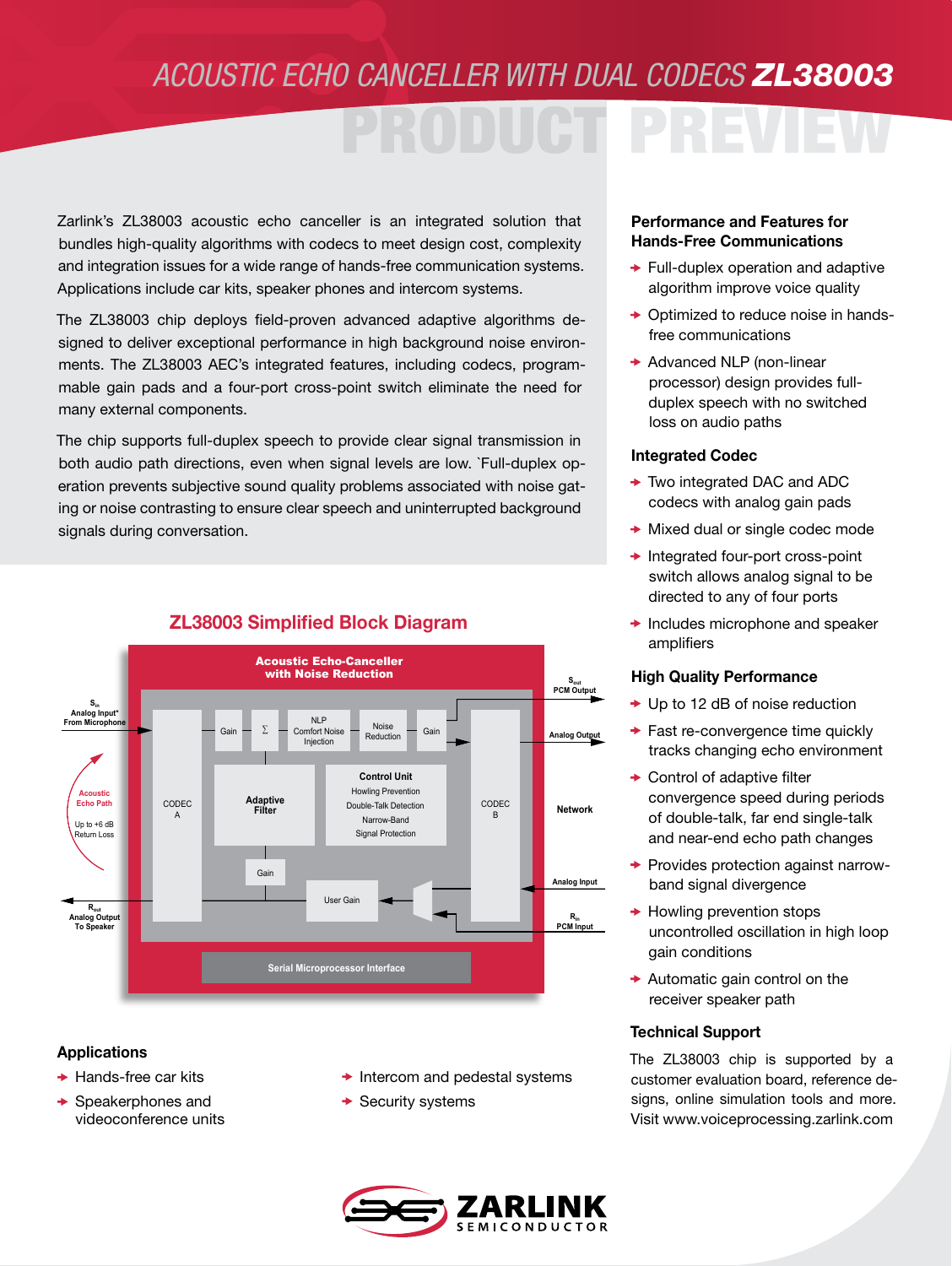## *ACOUSTIC ECHO CANCELLER WITH DUAL CODECS ZL38003*

# PRODUCT PREVIEW

Zarlink's ZL38003 acoustic echo canceller is an integrated solution that bundles high-quality algorithms with codecs to meet design cost, complexity and integration issues for a wide range of hands-free communication systems. Applications include car kits, speaker phones and intercom systems.

The ZL38003 chip deploys field-proven advanced adaptive algorithms designed to deliver exceptional performance in high background noise environments. The ZL38003 AEC's integrated features, including codecs, programmable gain pads and a four-port cross-point switch eliminate the need for many external components.

The chip supports full-duplex speech to provide clear signal transmission in both audio path directions, even when signal levels are low. `Full-duplex operation prevents subjective sound quality problems associated with noise gating or noise contrasting to ensure clear speech and uninterrupted background signals during conversation.



## ZL38003 Simplified Block Diagram **ZL38003 Simplified Block Diagram**

#### Applications

- $\rightarrow$  Hands-free car kits
- $\rightarrow$  Speakerphones and videoconference units
- $\rightarrow$  Intercom and pedestal systems
- $\rightarrow$  Security systems

### Performance and Features for Hands-Free Communications

- $\rightarrow$  Full-duplex operation and adaptive algorithm improve voice quality
- **→ Optimized to reduce noise in hands**free communications
- $\rightarrow$  Advanced NLP (non-linear processor) design provides fullduplex speech with no switched loss on audio paths

#### Integrated Codec

- **★ Two integrated DAC and ADC** codecs with analog gain pads
- **★ Mixed dual or single codec mode**
- $\rightarrow$  Integrated four-port cross-point switch allows analog signal to be directed to any of four ports
- $\rightarrow$  Includes microphone and speaker amplifiers

#### High Quality Performance

- $\rightarrow$  Up to 12 dB of noise reduction
- ◆ Fast re-convergence time quickly tracks changing echo environment
- **★ Control of adaptive filter** convergence speed during periods of double-talk, far end single-talk and near-end echo path changes
- $\rightarrow$  Provides protection against narrowband signal divergence
- $\rightarrow$  Howling prevention stops uncontrolled oscillation in high loop gain conditions
- $\rightarrow$  Automatic gain control on the receiver speaker path

#### Technical Support

The ZL38003 chip is supported by a customer evaluation board, reference designs, online simulation tools and more. Visit www.voiceprocessing.zarlink.com